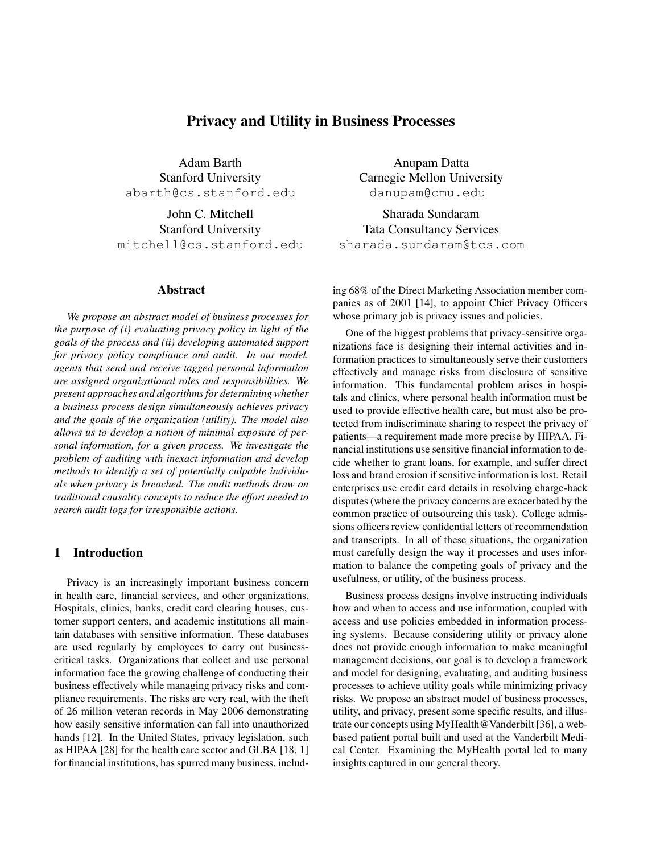# Privacy and Utility in Business Processes

Adam Barth Stanford University abarth@cs.stanford.edu

John C. Mitchell Stanford University mitchell@cs.stanford.edu

## Abstract

*We propose an abstract model of business processes for the purpose of (i) evaluating privacy policy in light of the goals of the process and (ii) developing automated support for privacy policy compliance and audit. In our model, agents that send and receive tagged personal information are assigned organizational roles and responsibilities. We present approaches and algorithms for determining whether a business process design simultaneously achieves privacy and the goals of the organization (utility). The model also allows us to develop a notion of minimal exposure of personal information, for a given process. We investigate the problem of auditing with inexact information and develop methods to identify a set of potentially culpable individuals when privacy is breached. The audit methods draw on traditional causality concepts to reduce the effort needed to search audit logs for irresponsible actions.*

# 1 Introduction

Privacy is an increasingly important business concern in health care, financial services, and other organizations. Hospitals, clinics, banks, credit card clearing houses, customer support centers, and academic institutions all maintain databases with sensitive information. These databases are used regularly by employees to carry out businesscritical tasks. Organizations that collect and use personal information face the growing challenge of conducting their business effectively while managing privacy risks and compliance requirements. The risks are very real, with the theft of 26 million veteran records in May 2006 demonstrating how easily sensitive information can fall into unauthorized hands [12]. In the United States, privacy legislation, such as HIPAA [28] for the health care sector and GLBA [18, 1] for financial institutions, has spurred many business, includ-

Anupam Datta Carnegie Mellon University danupam@cmu.edu

Sharada Sundaram Tata Consultancy Services sharada.sundaram@tcs.com

ing 68% of the Direct Marketing Association member companies as of 2001 [14], to appoint Chief Privacy Officers whose primary job is privacy issues and policies.

One of the biggest problems that privacy-sensitive organizations face is designing their internal activities and information practices to simultaneously serve their customers effectively and manage risks from disclosure of sensitive information. This fundamental problem arises in hospitals and clinics, where personal health information must be used to provide effective health care, but must also be protected from indiscriminate sharing to respect the privacy of patients—a requirement made more precise by HIPAA. Financial institutions use sensitive financial information to decide whether to grant loans, for example, and suffer direct loss and brand erosion if sensitive information is lost. Retail enterprises use credit card details in resolving charge-back disputes (where the privacy concerns are exacerbated by the common practice of outsourcing this task). College admissions officers review confidential letters of recommendation and transcripts. In all of these situations, the organization must carefully design the way it processes and uses information to balance the competing goals of privacy and the usefulness, or utility, of the business process.

Business process designs involve instructing individuals how and when to access and use information, coupled with access and use policies embedded in information processing systems. Because considering utility or privacy alone does not provide enough information to make meaningful management decisions, our goal is to develop a framework and model for designing, evaluating, and auditing business processes to achieve utility goals while minimizing privacy risks. We propose an abstract model of business processes, utility, and privacy, present some specific results, and illustrate our concepts using MyHealth@Vanderbilt [36], a webbased patient portal built and used at the Vanderbilt Medical Center. Examining the MyHealth portal led to many insights captured in our general theory.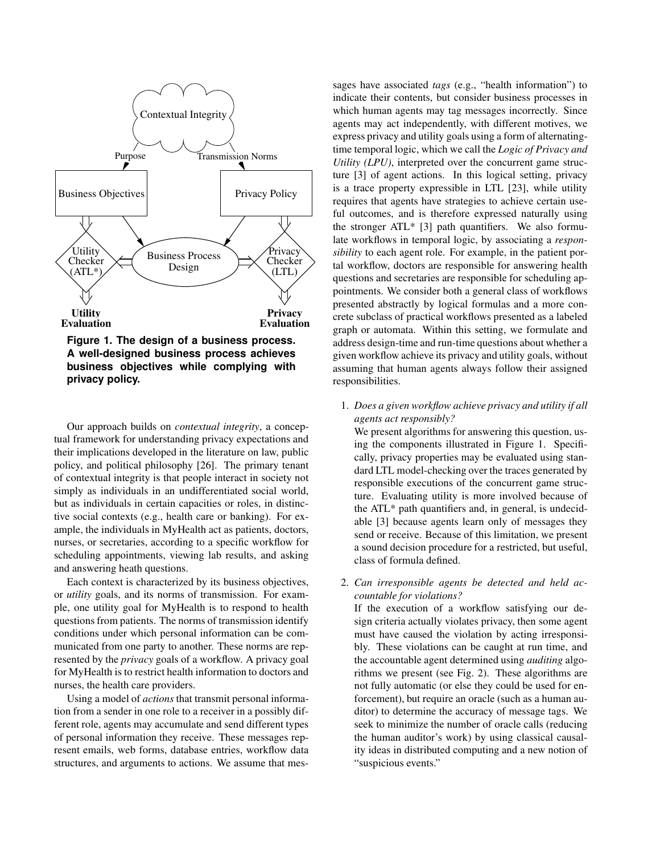

**A well-designed business process achieves business objectives while complying with privacy policy.**

Our approach builds on *contextual integrity*, a conceptual framework for understanding privacy expectations and their implications developed in the literature on law, public policy, and political philosophy [26]. The primary tenant of contextual integrity is that people interact in society not simply as individuals in an undifferentiated social world, but as individuals in certain capacities or roles, in distinctive social contexts (e.g., health care or banking). For example, the individuals in MyHealth act as patients, doctors, nurses, or secretaries, according to a specific workflow for scheduling appointments, viewing lab results, and asking and answering heath questions.

Each context is characterized by its business objectives, or *utility* goals, and its norms of transmission. For example, one utility goal for MyHealth is to respond to health questions from patients. The norms of transmission identify conditions under which personal information can be communicated from one party to another. These norms are represented by the *privacy* goals of a workflow. A privacy goal for MyHealth is to restrict health information to doctors and nurses, the health care providers.

Using a model of *actions* that transmit personal information from a sender in one role to a receiver in a possibly different role, agents may accumulate and send different types of personal information they receive. These messages represent emails, web forms, database entries, workflow data structures, and arguments to actions. We assume that messages have associated *tags* (e.g., "health information") to indicate their contents, but consider business processes in which human agents may tag messages incorrectly. Since agents may act independently, with different motives, we express privacy and utility goals using a form of alternatingtime temporal logic, which we call the *Logic of Privacy and Utility (LPU)*, interpreted over the concurrent game structure [3] of agent actions. In this logical setting, privacy is a trace property expressible in LTL [23], while utility requires that agents have strategies to achieve certain useful outcomes, and is therefore expressed naturally using the stronger  $ATL^*$  [3] path quantifiers. We also formulate workflows in temporal logic, by associating a *responsibility* to each agent role. For example, in the patient portal workflow, doctors are responsible for answering health questions and secretaries are responsible for scheduling appointments. We consider both a general class of workflows presented abstractly by logical formulas and a more concrete subclass of practical workflows presented as a labeled graph or automata. Within this setting, we formulate and address design-time and run-time questions about whether a given workflow achieve its privacy and utility goals, without assuming that human agents always follow their assigned responsibilities.

1. *Does a given workflow achieve privacy and utility if all agents act responsibly?*

We present algorithms for answering this question, using the components illustrated in Figure 1. Specifically, privacy properties may be evaluated using standard LTL model-checking over the traces generated by responsible executions of the concurrent game structure. Evaluating utility is more involved because of the ATL\* path quantifiers and, in general, is undecidable [3] because agents learn only of messages they send or receive. Because of this limitation, we present a sound decision procedure for a restricted, but useful, class of formula defined.

2. *Can irresponsible agents be detected and held accountable for violations?*

If the execution of a workflow satisfying our design criteria actually violates privacy, then some agent must have caused the violation by acting irresponsibly. These violations can be caught at run time, and the accountable agent determined using *auditing* algorithms we present (see Fig. 2). These algorithms are not fully automatic (or else they could be used for enforcement), but require an oracle (such as a human auditor) to determine the accuracy of message tags. We seek to minimize the number of oracle calls (reducing the human auditor's work) by using classical causality ideas in distributed computing and a new notion of "suspicious events."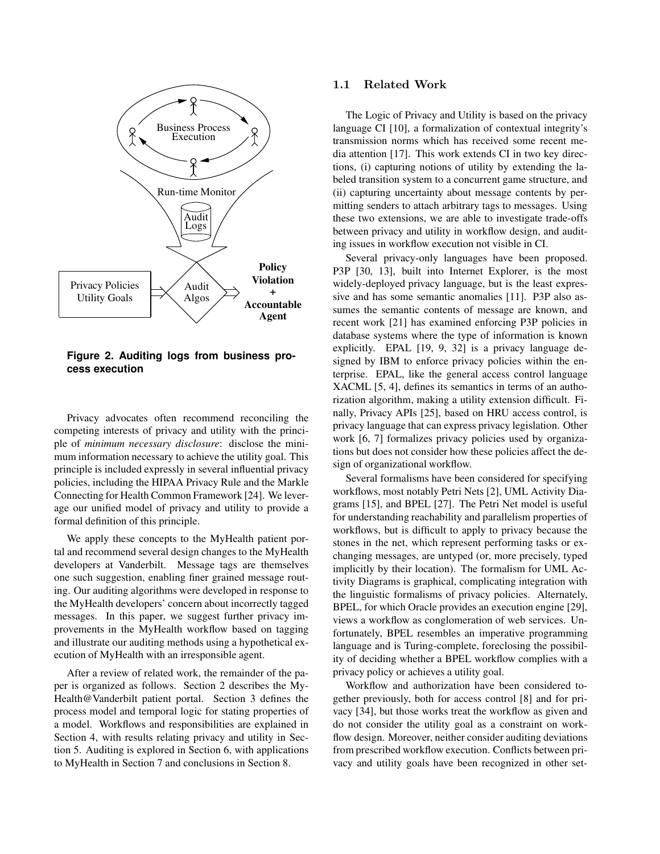

**Figure 2. Auditing logs from business process execution**

Privacy advocates often recommend reconciling the competing interests of privacy and utility with the principle of *minimum necessary disclosure*: disclose the minimum information necessary to achieve the utility goal. This principle is included expressly in several influential privacy policies, including the HIPAA Privacy Rule and the Markle Connecting for Health Common Framework [24]. We leverage our unified model of privacy and utility to provide a formal definition of this principle.

We apply these concepts to the MyHealth patient portal and recommend several design changes to the MyHealth developers at Vanderbilt. Message tags are themselves one such suggestion, enabling finer grained message routing. Our auditing algorithms were developed in response to the MyHealth developers' concern about incorrectly tagged messages. In this paper, we suggest further privacy improvements in the MyHealth workflow based on tagging and illustrate our auditing methods using a hypothetical execution of MyHealth with an irresponsible agent.

After a review of related work, the remainder of the paper is organized as follows. Section 2 describes the My-Health@Vanderbilt patient portal. Section 3 defines the process model and temporal logic for stating properties of a model. Workflows and responsibilities are explained in Section 4, with results relating privacy and utility in Section 5. Auditing is explored in Section 6, with applications to MyHealth in Section 7 and conclusions in Section 8.

#### 1.1 Related Work

The Logic of Privacy and Utility is based on the privacy language CI [10], a formalization of contextual integrity's transmission norms which has received some recent media attention [17]. This work extends CI in two key directions, (i) capturing notions of utility by extending the labeled transition system to a concurrent game structure, and (ii) capturing uncertainty about message contents by permitting senders to attach arbitrary tags to messages. Using these two extensions, we are able to investigate trade-offs between privacy and utility in workflow design, and auditing issues in workflow execution not visible in CI.

Several privacy-only languages have been proposed. P3P [30, 13], built into Internet Explorer, is the most widely-deployed privacy language, but is the least expressive and has some semantic anomalies [11]. P3P also assumes the semantic contents of message are known, and recent work [21] has examined enforcing P3P policies in database systems where the type of information is known explicitly. EPAL [19, 9, 32] is a privacy language designed by IBM to enforce privacy policies within the enterprise. EPAL, like the general access control language XACML [5, 4], defines its semantics in terms of an authorization algorithm, making a utility extension difficult. Finally, Privacy APIs [25], based on HRU access control, is privacy language that can express privacy legislation. Other work [6, 7] formalizes privacy policies used by organizations but does not consider how these policies affect the design of organizational workflow.

Several formalisms have been considered for specifying workflows, most notably Petri Nets [2], UML Activity Diagrams [15], and BPEL [27]. The Petri Net model is useful for understanding reachability and parallelism properties of workflows, but is difficult to apply to privacy because the stones in the net, which represent performing tasks or exchanging messages, are untyped (or, more precisely, typed implicitly by their location). The formalism for UML Activity Diagrams is graphical, complicating integration with the linguistic formalisms of privacy policies. Alternately, BPEL, for which Oracle provides an execution engine [29], views a workflow as conglomeration of web services. Unfortunately, BPEL resembles an imperative programming language and is Turing-complete, foreclosing the possibility of deciding whether a BPEL workflow complies with a privacy policy or achieves a utility goal.

Workflow and authorization have been considered together previously, both for access control [8] and for privacy [34], but those works treat the workflow as given and do not consider the utility goal as a constraint on workflow design. Moreover, neither consider auditing deviations from prescribed workflow execution. Conflicts between privacy and utility goals have been recognized in other set-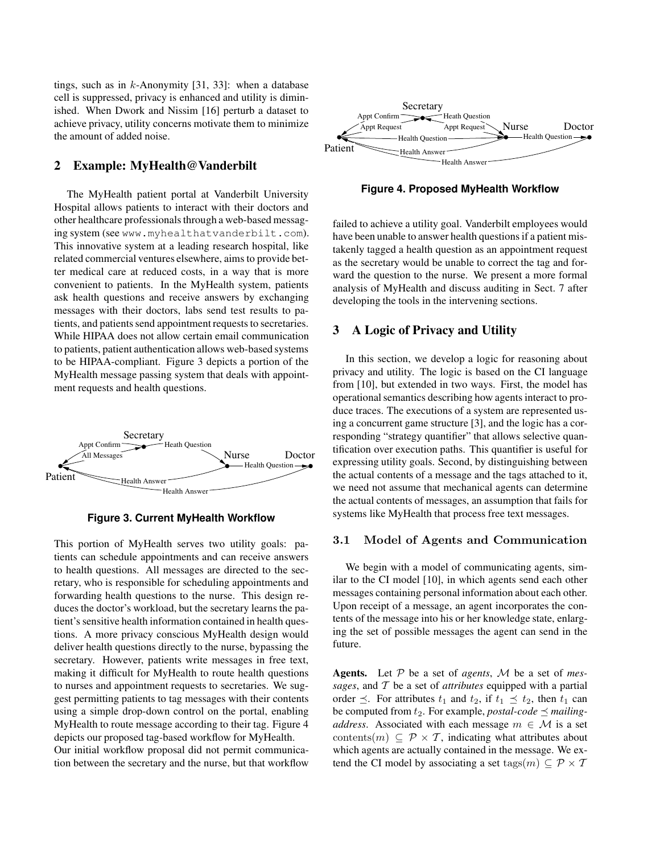tings, such as in  $k$ -Anonymity [31, 33]: when a database cell is suppressed, privacy is enhanced and utility is diminished. When Dwork and Nissim [16] perturb a dataset to achieve privacy, utility concerns motivate them to minimize the amount of added noise.

# 2 Example: MyHealth@Vanderbilt

The MyHealth patient portal at Vanderbilt University Hospital allows patients to interact with their doctors and other healthcare professionals through a web-based messaging system (see www.myhealthatvanderbilt.com). This innovative system at a leading research hospital, like related commercial ventures elsewhere, aims to provide better medical care at reduced costs, in a way that is more convenient to patients. In the MyHealth system, patients ask health questions and receive answers by exchanging messages with their doctors, labs send test results to patients, and patients send appointment requests to secretaries. While HIPAA does not allow certain email communication to patients, patient authentication allows web-based systems to be HIPAA-compliant. Figure 3 depicts a portion of the MyHealth message passing system that deals with appointment requests and health questions.



**Figure 3. Current MyHealth Workflow**

This portion of MyHealth serves two utility goals: patients can schedule appointments and can receive answers to health questions. All messages are directed to the secretary, who is responsible for scheduling appointments and forwarding health questions to the nurse. This design reduces the doctor's workload, but the secretary learns the patient's sensitive health information contained in health questions. A more privacy conscious MyHealth design would deliver health questions directly to the nurse, bypassing the secretary. However, patients write messages in free text, making it difficult for MyHealth to route health questions to nurses and appointment requests to secretaries. We suggest permitting patients to tag messages with their contents using a simple drop-down control on the portal, enabling MyHealth to route message according to their tag. Figure 4 depicts our proposed tag-based workflow for MyHealth.

Our initial workflow proposal did not permit communication between the secretary and the nurse, but that workflow



**Figure 4. Proposed MyHealth Workflow**

failed to achieve a utility goal. Vanderbilt employees would have been unable to answer health questions if a patient mistakenly tagged a health question as an appointment request as the secretary would be unable to correct the tag and forward the question to the nurse. We present a more formal analysis of MyHealth and discuss auditing in Sect. 7 after developing the tools in the intervening sections.

# 3 A Logic of Privacy and Utility

In this section, we develop a logic for reasoning about privacy and utility. The logic is based on the CI language from [10], but extended in two ways. First, the model has operational semantics describing how agents interact to produce traces. The executions of a system are represented using a concurrent game structure [3], and the logic has a corresponding "strategy quantifier" that allows selective quantification over execution paths. This quantifier is useful for expressing utility goals. Second, by distinguishing between the actual contents of a message and the tags attached to it, we need not assume that mechanical agents can determine the actual contents of messages, an assumption that fails for systems like MyHealth that process free text messages.

## 3.1 Model of Agents and Communication

We begin with a model of communicating agents, similar to the CI model [10], in which agents send each other messages containing personal information about each other. Upon receipt of a message, an agent incorporates the contents of the message into his or her knowledge state, enlarging the set of possible messages the agent can send in the future.

Agents. Let P be a set of *agents*, M be a set of *messages*, and T be a set of *attributes* equipped with a partial order  $\preceq$ . For attributes  $t_1$  and  $t_2$ , if  $t_1 \preceq t_2$ , then  $t_1$  can be computed from  $t_2$ . For example, *postal-code*  $\preceq$  *mailingaddress.* Associated with each message  $m \in \mathcal{M}$  is a set contents(m)  $\subset \mathcal{P} \times \mathcal{T}$ , indicating what attributes about which agents are actually contained in the message. We extend the CI model by associating a set tags $(m) \subseteq \mathcal{P} \times \mathcal{T}$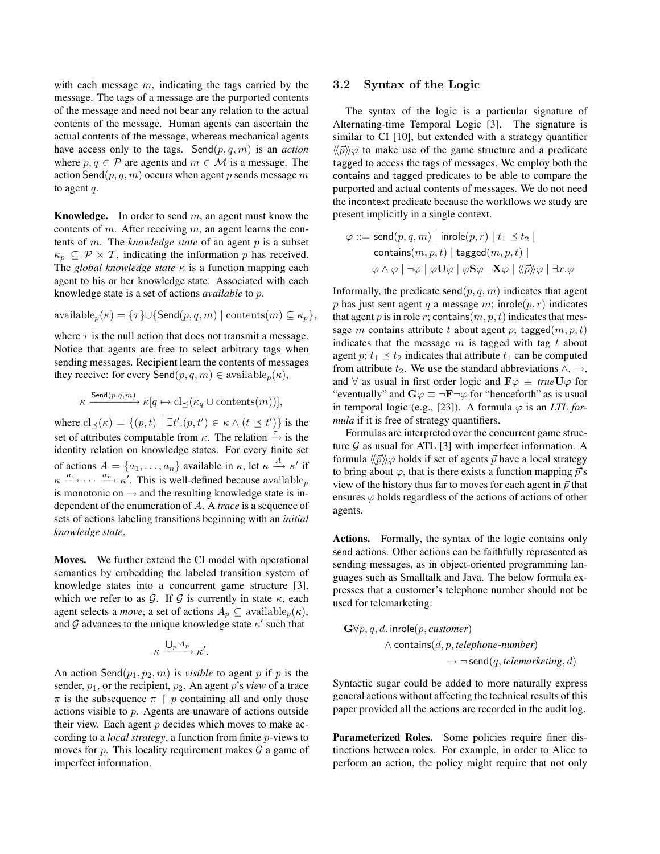with each message  $m$ , indicating the tags carried by the message. The tags of a message are the purported contents of the message and need not bear any relation to the actual contents of the message. Human agents can ascertain the actual contents of the message, whereas mechanical agents have access only to the tags. Send(p, q, m) is an *action* where  $p, q \in \mathcal{P}$  are agents and  $m \in \mathcal{M}$  is a message. The action Send $(p, q, m)$  occurs when agent p sends message m to agent  $q$ .

**Knowledge.** In order to send  $m$ , an agent must know the contents of  $m$ . After receiving  $m$ , an agent learns the contents of m. The *knowledge state* of an agent p is a subset  $\kappa_p \subseteq \mathcal{P} \times \mathcal{T}$ , indicating the information p has received. The *global knowledge state* κ is a function mapping each agent to his or her knowledge state. Associated with each knowledge state is a set of actions *available* to p.

available<sub>p</sub>( $\kappa$ ) = { $\tau$ }∪{Send(p, q, m) | contents(m)  $\subseteq$   $\kappa_p$ },

where  $\tau$  is the null action that does not transmit a message. Notice that agents are free to select arbitrary tags when sending messages. Recipient learn the contents of messages they receive: for every Send $(p, q, m) \in$  available<sub>n</sub> $(\kappa)$ ,

$$
\kappa\xrightarrow{\mathsf{Send}(p,q,m)}\kappa[q\mapsto\text{cl}_\preceq(\kappa_q\cup\text{contents}(m))],
$$

where  $cl_{\preceq}(\kappa) = \{(p, t) \mid \exists t'.(p, t') \in \kappa \wedge (t \preceq t')\}$  is the set of attributes computable from  $\kappa$ . The relation  $\stackrel{\tau}{\rightarrow}$  is the identity relation on knowledge states. For every finite set of actions  $A = \{a_1, \ldots, a_n\}$  available in  $\kappa$ , let  $\kappa \stackrel{A}{\to} \kappa'$  if  $\kappa \stackrel{a_1}{\longrightarrow} \cdots \stackrel{a_n}{\longrightarrow} \kappa'$ . This is well-defined because available<sub>p</sub> is monotonic on  $\rightarrow$  and the resulting knowledge state is independent of the enumeration of A. A *trace* is a sequence of sets of actions labeling transitions beginning with an *initial knowledge state*.

Moves. We further extend the CI model with operational semantics by embedding the labeled transition system of knowledge states into a concurrent game structure [3], which we refer to as  $G$ . If  $G$  is currently in state  $\kappa$ , each agent selects a *move*, a set of actions  $A_p \subseteq$  available<sub>p</sub>( $\kappa$ ), and G advances to the unique knowledge state  $\kappa'$  such that

$$
\kappa \xrightarrow{\bigcup_{p} A_p} \kappa'.
$$

An action Send $(p_1, p_2, m)$  is *visible* to agent p if p is the sender,  $p_1$ , or the recipient,  $p_2$ . An agent p's *view* of a trace  $\pi$  is the subsequence  $\pi \restriction p$  containing all and only those actions visible to p. Agents are unaware of actions outside their view. Each agent  $p$  decides which moves to make according to a *local strategy*, a function from finite p-views to moves for p. This locality requirement makes  $\mathcal G$  a game of imperfect information.

#### 3.2 Syntax of the Logic

The syntax of the logic is a particular signature of Alternating-time Temporal Logic [3]. The signature is similar to CI [10], but extended with a strategy quantifier  $\langle \langle \vec{p} \rangle \rangle \varphi$  to make use of the game structure and a predicate tagged to access the tags of messages. We employ both the contains and tagged predicates to be able to compare the purported and actual contents of messages. We do not need the incontext predicate because the workflows we study are present implicitly in a single context.

$$
\varphi ::= \mathsf{send}(p, q, m) \mid \mathsf{inrole}(p, r) \mid t_1 \preceq t_2 \mid \\ \mathsf{contains}(m, p, t) \mid \mathsf{tagged}(m, p, t) \mid \\ \varphi \land \varphi \mid \neg \varphi \mid \varphi \mathbf{U} \varphi \mid \varphi \mathbf{S} \varphi \mid \mathbf{X} \varphi \mid \langle \vec{p} \rangle \rangle \varphi \mid \exists x. \varphi
$$

Informally, the predicate send $(p, q, m)$  indicates that agent p has just sent agent q a message m; inrole $(p, r)$  indicates that agent p is in role r; contains $(m, p, t)$  indicates that message m contains attribute t about agent p; tagged $(m, p, t)$ indicates that the message  $m$  is tagged with tag  $t$  about agent p;  $t_1 \le t_2$  indicates that attribute  $t_1$  can be computed from attribute  $t_2$ . We use the standard abbreviations  $\wedge$ ,  $\rightarrow$ , and  $\forall$  as usual in first order logic and  $\mathbf{F}\varphi \equiv \text{true}\mathbf{U}\varphi$  for "eventually" and  $\mathbf{G}\varphi \equiv \neg \mathbf{F} \neg \varphi$  for "henceforth" as is usual in temporal logic (e.g., [23]). A formula  $\varphi$  is an *LTL formula* if it is free of strategy quantifiers.

Formulas are interpreted over the concurrent game structure  $G$  as usual for ATL [3] with imperfect information. A formula  $\langle \langle \vec{p} \rangle \rangle \varphi$  holds if set of agents  $\vec{p}$  have a local strategy to bring about  $\varphi$ , that is there exists a function mapping  $\vec{p}$ 's view of the history thus far to moves for each agent in  $\vec{p}$  that ensures  $\varphi$  holds regardless of the actions of actions of other agents.

Actions. Formally, the syntax of the logic contains only send actions. Other actions can be faithfully represented as sending messages, as in object-oriented programming languages such as Smalltalk and Java. The below formula expresses that a customer's telephone number should not be used for telemarketing:

$$
G\forall p, q, d. \text{ inrole}(p, customer)
$$
  

$$
\land \text{ contains}(d, p, telephone-number)
$$
  

$$
\rightarrow \neg \text{send}(q, telemarker, d)
$$

Syntactic sugar could be added to more naturally express general actions without affecting the technical results of this paper provided all the actions are recorded in the audit log.

Parameterized Roles. Some policies require finer distinctions between roles. For example, in order to Alice to perform an action, the policy might require that not only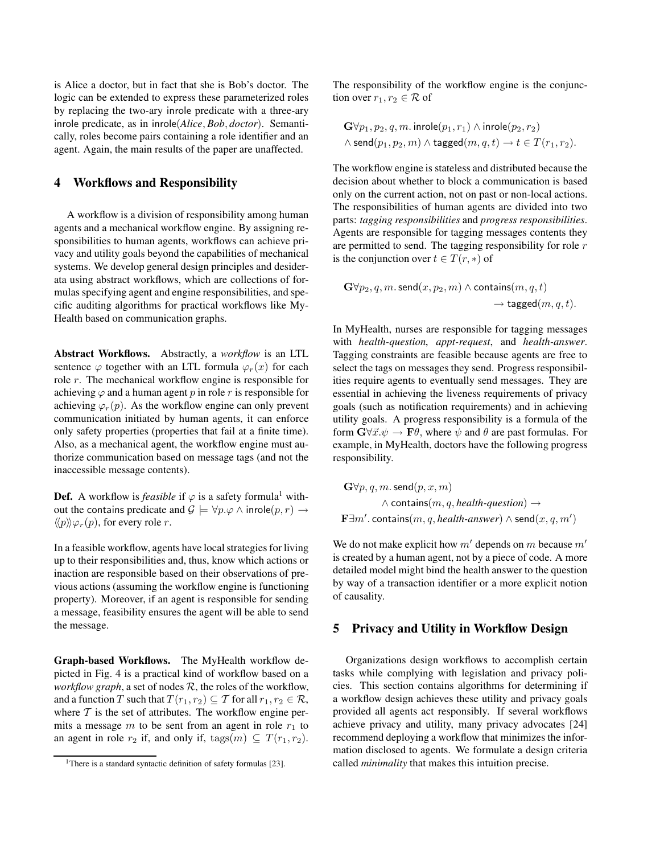is Alice a doctor, but in fact that she is Bob's doctor. The logic can be extended to express these parameterized roles by replacing the two-ary inrole predicate with a three-ary inrole predicate, as in inrole(*Alice*, *Bob*, *doctor*). Semantically, roles become pairs containing a role identifier and an agent. Again, the main results of the paper are unaffected.

## 4 Workflows and Responsibility

A workflow is a division of responsibility among human agents and a mechanical workflow engine. By assigning responsibilities to human agents, workflows can achieve privacy and utility goals beyond the capabilities of mechanical systems. We develop general design principles and desiderata using abstract workflows, which are collections of formulas specifying agent and engine responsibilities, and specific auditing algorithms for practical workflows like My-Health based on communication graphs.

Abstract Workflows. Abstractly, a *workflow* is an LTL sentence  $\varphi$  together with an LTL formula  $\varphi_r(x)$  for each role r. The mechanical workflow engine is responsible for achieving  $\varphi$  and a human agent p in role r is responsible for achieving  $\varphi_r(p)$ . As the workflow engine can only prevent communication initiated by human agents, it can enforce only safety properties (properties that fail at a finite time). Also, as a mechanical agent, the workflow engine must authorize communication based on message tags (and not the inaccessible message contents).

**Def.** A workflow is *feasible* if  $\varphi$  is a safety formula<sup>1</sup> without the contains predicate and  $\mathcal{G} \models \forall p \varphi \land \text{inrole}(p, r) \rightarrow$  $\langle\!\langle p \rangle\!\rangle\varphi_r(p)$ , for every role r.

In a feasible workflow, agents have local strategies for living up to their responsibilities and, thus, know which actions or inaction are responsible based on their observations of previous actions (assuming the workflow engine is functioning property). Moreover, if an agent is responsible for sending a message, feasibility ensures the agent will be able to send the message.

Graph-based Workflows. The MyHealth workflow depicted in Fig. 4 is a practical kind of workflow based on a *workflow graph*, a set of nodes R, the roles of the workflow, and a function T such that  $T(r_1, r_2) \subseteq T$  for all  $r_1, r_2 \in \mathcal{R}$ , where  $T$  is the set of attributes. The workflow engine permits a message  $m$  to be sent from an agent in role  $r_1$  to an agent in role  $r_2$  if, and only if,  $tags(m) \subseteq T(r_1, r_2)$ .

The responsibility of the workflow engine is the conjunction over  $r_1, r_2 \in \mathcal{R}$  of

$$
\mathbf{G} \forall p_1, p_2, q, m.\, \text{invole}(p_1, r_1) \land \text{invole}(p_2, r_2) \land \text{send}(p_1, p_2, m) \land \text{tagged}(m, q, t) \rightarrow t \in T(r_1, r_2).
$$

The workflow engine is stateless and distributed because the decision about whether to block a communication is based only on the current action, not on past or non-local actions. The responsibilities of human agents are divided into two parts: *tagging responsibilities* and *progress responsibilities*. Agents are responsible for tagging messages contents they are permitted to send. The tagging responsibility for role  $r$ is the conjunction over  $t \in T(r, *)$  of

$$
\begin{aligned} \mathbf{G}\forall p_2, q, m.\, \mathsf{send}(x, p_2, m) \land \mathsf{contains}(m, q, t) \\ \rightarrow \mathsf{tagged}(m, q, t). \end{aligned}
$$

In MyHealth, nurses are responsible for tagging messages with *health-question*, *appt-request*, and *health-answer*. Tagging constraints are feasible because agents are free to select the tags on messages they send. Progress responsibilities require agents to eventually send messages. They are essential in achieving the liveness requirements of privacy goals (such as notification requirements) and in achieving utility goals. A progress responsibility is a formula of the form  $\mathbf{G}\forall \vec{x}.\psi \rightarrow \mathbf{F}\theta$ , where  $\psi$  and  $\theta$  are past formulas. For example, in MyHealth, doctors have the following progress responsibility.

 $\mathbf{G}\forall p,q,m.$  send $(p,x,m)$  $\land$  contains $(m, q, health-question) \rightarrow$  ${\bf F}\exists m'.$  contains $(m, q, \textit{health-answer}) \wedge \textsf{send}(x, q, m')$ 

We do not make explicit how  $m'$  depends on m because  $m'$ is created by a human agent, not by a piece of code. A more detailed model might bind the health answer to the question by way of a transaction identifier or a more explicit notion of causality.

## 5 Privacy and Utility in Workflow Design

Organizations design workflows to accomplish certain tasks while complying with legislation and privacy policies. This section contains algorithms for determining if a workflow design achieves these utility and privacy goals provided all agents act responsibly. If several workflows achieve privacy and utility, many privacy advocates [24] recommend deploying a workflow that minimizes the information disclosed to agents. We formulate a design criteria called *minimality* that makes this intuition precise.

<sup>&</sup>lt;sup>1</sup>There is a standard syntactic definition of safety formulas [23].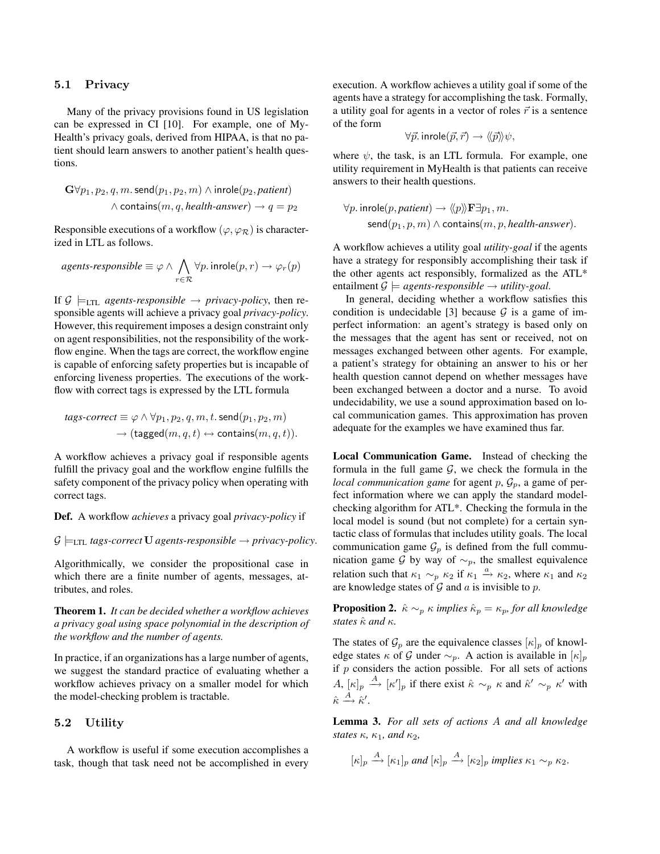### 5.1 Privacy

Many of the privacy provisions found in US legislation can be expressed in CI [10]. For example, one of My-Health's privacy goals, derived from HIPAA, is that no patient should learn answers to another patient's health questions.

$$
\mathbf{G}\forall p_1, p_2, q, m. \mathsf{send}(p_1, p_2, m) \land \mathsf{inrole}(p_2, patient)
$$
  

$$
\land \mathsf{contains}(m, q, health-answer) \rightarrow q = p_2
$$

Responsible executions of a workflow  $(\varphi, \varphi_R)$  is characterized in LTL as follows.

*agents-responsible* 
$$
\equiv \varphi \land \bigwedge_{r \in \mathcal{R}} \forall p.\mathsf{inrole}(p,r) \rightarrow \varphi_r(p)
$$

If  $\mathcal{G} \models_{\text{LTL}} \text{agents-responsible } \rightarrow \text{ privacy-policy, then re-}$ sponsible agents will achieve a privacy goal *privacy-policy*. However, this requirement imposes a design constraint only on agent responsibilities, not the responsibility of the workflow engine. When the tags are correct, the workflow engine is capable of enforcing safety properties but is incapable of enforcing liveness properties. The executions of the workflow with correct tags is expressed by the LTL formula

$$
tags\text{-}correct \equiv \varphi \land \forall p_1, p_2, q, m, t. \mathsf{send}(p_1, p_2, m) \\ \rightarrow (\mathsf{tagged}(m, q, t) \leftrightarrow \mathsf{contains}(m, q, t)).
$$

A workflow achieves a privacy goal if responsible agents fulfill the privacy goal and the workflow engine fulfills the safety component of the privacy policy when operating with correct tags.

Def. A workflow *achieves* a privacy goal *privacy-policy* if

 $\mathcal{G} \models_{\text{LTL}} \text{tags-correct U agents-responding } \rightarrow \text{private}$ y-policy.

Algorithmically, we consider the propositional case in which there are a finite number of agents, messages, attributes, and roles.

Theorem 1. *It can be decided whether a workflow achieves a privacy goal using space polynomial in the description of the workflow and the number of agents.*

In practice, if an organizations has a large number of agents, we suggest the standard practice of evaluating whether a workflow achieves privacy on a smaller model for which the model-checking problem is tractable.

## 5.2 Utility

A workflow is useful if some execution accomplishes a task, though that task need not be accomplished in every execution. A workflow achieves a utility goal if some of the agents have a strategy for accomplishing the task. Formally, a utility goal for agents in a vector of roles  $\vec{r}$  is a sentence of the form

$$
\forall \vec{p}.\mathsf{inrole}(\vec{p},\vec{r}) \rightarrow \langle\!\langle \vec{p} \rangle\!\rangle \psi,
$$

where  $\psi$ , the task, is an LTL formula. For example, one utility requirement in MyHealth is that patients can receive answers to their health questions.

$$
\forall p. \text{ inrole}(p, patient) \rightarrow \langle\!\langle p \rangle\!\rangle \mathbf{F} \exists p_1, m.
$$
  
send $(p_1, p, m) \land \text{contains}(m, p, health-answer).$ 

A workflow achieves a utility goal *utility-goal* if the agents have a strategy for responsibly accomplishing their task if the other agents act responsibly, formalized as the ATL\* entailment  $G \models agents-response$ *responsible*  $\rightarrow$  *utility-goal.* 

In general, deciding whether a workflow satisfies this condition is undecidable [3] because  $G$  is a game of imperfect information: an agent's strategy is based only on the messages that the agent has sent or received, not on messages exchanged between other agents. For example, a patient's strategy for obtaining an answer to his or her health question cannot depend on whether messages have been exchanged between a doctor and a nurse. To avoid undecidability, we use a sound approximation based on local communication games. This approximation has proven adequate for the examples we have examined thus far.

Local Communication Game. Instead of checking the formula in the full game  $G$ , we check the formula in the *local communication game* for agent  $p$ ,  $\mathcal{G}_p$ , a game of perfect information where we can apply the standard modelchecking algorithm for ATL\*. Checking the formula in the local model is sound (but not complete) for a certain syntactic class of formulas that includes utility goals. The local communication game  $\mathcal{G}_p$  is defined from the full communication game G by way of  $\sim_p$ , the smallest equivalence relation such that  $\kappa_1 \sim_p \kappa_2$  if  $\kappa_1 \stackrel{a}{\to} \kappa_2$ , where  $\kappa_1$  and  $\kappa_2$ are knowledge states of  $G$  and  $a$  is invisible to  $p$ .

**Proposition 2.**  $\hat{\kappa} \sim_{p} \kappa$  *implies*  $\hat{\kappa}_p = \kappa_p$ *, for all knowledge states* κˆ *and* κ*.*

The states of  $\mathcal{G}_p$  are the equivalence classes  $[\kappa]_p$  of knowledge states  $\kappa$  of G under  $\sim_p$ . A action is available in  $[\kappa]_p$ if  $p$  considers the action possible. For all sets of actions A,  $[\kappa]_p \stackrel{A}{\rightarrow} [\kappa']_p$  if there exist  $\hat{\kappa} \sim_p \kappa$  and  $\hat{\kappa}' \sim_p \kappa'$  with  $\hat{\kappa} \stackrel{A}{\longrightarrow} \hat{\kappa}'$ .

Lemma 3. *For all sets of actions* A *and all knowledge states* κ*,* κ1*, and* κ2*,*

$$
[\kappa]_p \stackrel{A}{\longrightarrow} [\kappa_1]_p
$$
 and  $[\kappa]_p \stackrel{A}{\longrightarrow} [\kappa_2]_p$  implies  $\kappa_1 \sim_p \kappa_2$ .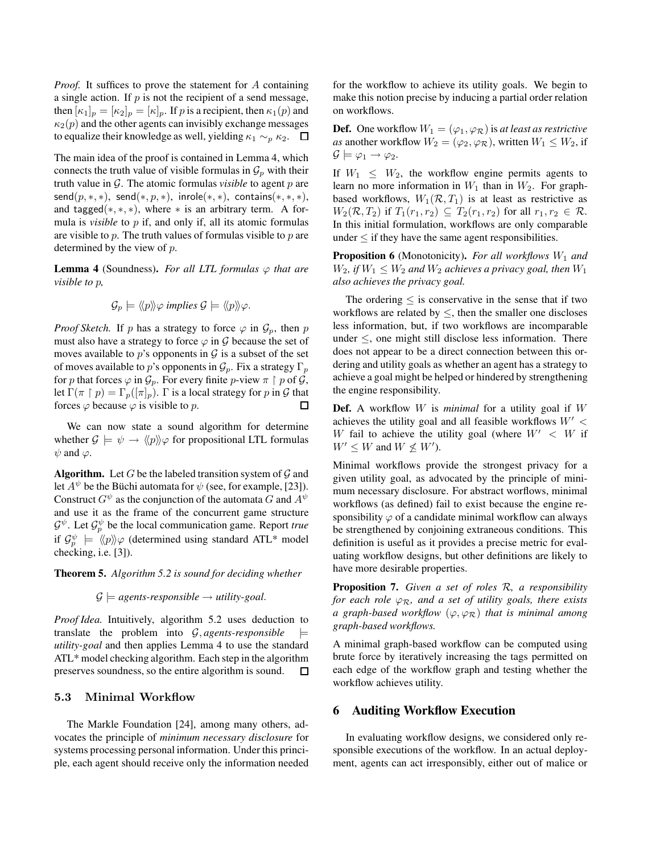*Proof.* It suffices to prove the statement for A containing a single action. If  $p$  is not the recipient of a send message, then  $[\kappa_1]_p = [\kappa_2]_p = [\kappa]_p$ . If p is a recipient, then  $\kappa_1(p)$  and  $\kappa_2(p)$  and the other agents can invisibly exchange messages to equalize their knowledge as well, yielding  $\kappa_1 \sim_p \kappa_2$ .  $\Box$ 

The main idea of the proof is contained in Lemma 4, which connects the truth value of visible formulas in  $\mathcal{G}_p$  with their truth value in G. The atomic formulas *visible* to agent p are  $send(p, *, *)$ ,  $send(*, p, *)$ ,  $inrole(*, *)$ ,  $contains(*, *, *)$ , and tagged( $*,*,*,$ ), where  $*$  is an arbitrary term. A formula is *visible* to *p* if, and only if, all its atomic formulas are visible to  $p$ . The truth values of formulas visible to  $p$  are determined by the view of  $p$ .

**Lemma 4** (Soundness). *For all LTL formulas*  $\varphi$  *that are visible to* p*,*

$$
\mathcal{G}_p \models \langle\!\langle p \rangle\!\rangle \varphi \text{ implies } \mathcal{G} \models \langle\!\langle p \rangle\!\rangle \varphi.
$$

*Proof Sketch.* If p has a strategy to force  $\varphi$  in  $\mathcal{G}_p$ , then p must also have a strategy to force  $\varphi$  in  $\mathcal G$  because the set of moves available to  $p$ 's opponents in  $\mathcal G$  is a subset of the set of moves available to p's opponents in  $\mathcal{G}_p$ . Fix a strategy  $\Gamma_p$ for p that forces  $\varphi$  in  $\mathcal{G}_p$ . For every finite p-view  $\pi \restriction p$  of  $\mathcal{G}_p$ , let  $\Gamma(\pi \upharpoonright p) = \Gamma_p([\pi]_p)$ .  $\Gamma$  is a local strategy for p in G that forces  $\varphi$  because  $\varphi$  is visible to p.  $\Box$ 

We can now state a sound algorithm for determine whether  $\mathcal{G} \models \psi \rightarrow \langle \psi \rangle \rangle \varphi$  for propositional LTL formulas  $\psi$  and  $\varphi$ .

**Algorithm.** Let G be the labeled transition system of  $\mathcal{G}$  and let  $A^{\psi}$  be the Büchi automata for  $\psi$  (see, for example, [23]). Construct  $G^{\psi}$  as the conjunction of the automata G and  $A^{\psi}$ and use it as the frame of the concurrent game structure  $\mathcal{G}^{\psi}$ . Let  $\mathcal{G}_{p}^{\psi}$  be the local communication game. Report *true* if  $\mathcal{G}_p^{\psi} \models \langle \! \langle p \rangle \! \rangle \varphi$  (determined using standard ATL\* model checking, i.e. [3]).

Theorem 5. *Algorithm 5.2 is sound for deciding whether*

$$
G \models agents-responseible \rightarrow utility\text{-}goal.
$$

*Proof Idea.* Intuitively, algorithm 5.2 uses deduction to translate the problem into  $G$ , *agents-responsible*  $\models$ *utility-goal* and then applies Lemma 4 to use the standard ATL\* model checking algorithm. Each step in the algorithm preserves soundness, so the entire algorithm is sound.  $\Box$ 

#### 5.3 Minimal Workflow

The Markle Foundation [24], among many others, advocates the principle of *minimum necessary disclosure* for systems processing personal information. Under this principle, each agent should receive only the information needed for the workflow to achieve its utility goals. We begin to make this notion precise by inducing a partial order relation on workflows.

**Def.** One workflow  $W_1 = (\varphi_1, \varphi_R)$  is *at least as restrictive as* another workflow  $W_2 = (\varphi_2, \varphi_{\mathcal{R}})$ , written  $W_1 \leq W_2$ , if  $\mathcal{G} \models \varphi_1 \rightarrow \varphi_2.$ 

If  $W_1 \leq W_2$ , the workflow engine permits agents to learn no more information in  $W_1$  than in  $W_2$ . For graphbased workflows,  $W_1(\mathcal{R}, T_1)$  is at least as restrictive as  $W_2(\mathcal{R}, T_2)$  if  $T_1(r_1, r_2) \subseteq T_2(r_1, r_2)$  for all  $r_1, r_2 \in \mathcal{R}$ . In this initial formulation, workflows are only comparable under  $\leq$  if they have the same agent responsibilities.

Proposition 6 (Monotonicity). For all workflows  $W_1$  and  $W_2$ , if  $W_1 \leq W_2$  and  $W_2$  achieves a privacy goal, then  $W_1$ *also achieves the privacy goal.*

The ordering  $\leq$  is conservative in the sense that if two workflows are related by  $\leq$ , then the smaller one discloses less information, but, if two workflows are incomparable under  $\leq$ , one might still disclose less information. There does not appear to be a direct connection between this ordering and utility goals as whether an agent has a strategy to achieve a goal might be helped or hindered by strengthening the engine responsibility.

Def. A workflow W is *minimal* for a utility goal if W achieves the utility goal and all feasible workflows  $W'$  < W fail to achieve the utility goal (where  $W' < W$  if  $W' \leq W$  and  $W \nleq W'$ ).

Minimal workflows provide the strongest privacy for a given utility goal, as advocated by the principle of minimum necessary disclosure. For abstract worflows, minimal workflows (as defined) fail to exist because the engine responsibility  $\varphi$  of a candidate minimal workflow can always be strengthened by conjoining extraneous conditions. This definition is useful as it provides a precise metric for evaluating workflow designs, but other definitions are likely to have more desirable properties.

Proposition 7. *Given a set of roles* R*, a responsibility for each role*  $\varphi_R$ *, and a set of utility goals, there exists a graph-based workflow*  $(\varphi, \varphi_R)$  *that is minimal among graph-based workflows.*

A minimal graph-based workflow can be computed using brute force by iteratively increasing the tags permitted on each edge of the workflow graph and testing whether the workflow achieves utility.

### 6 Auditing Workflow Execution

In evaluating workflow designs, we considered only responsible executions of the workflow. In an actual deployment, agents can act irresponsibly, either out of malice or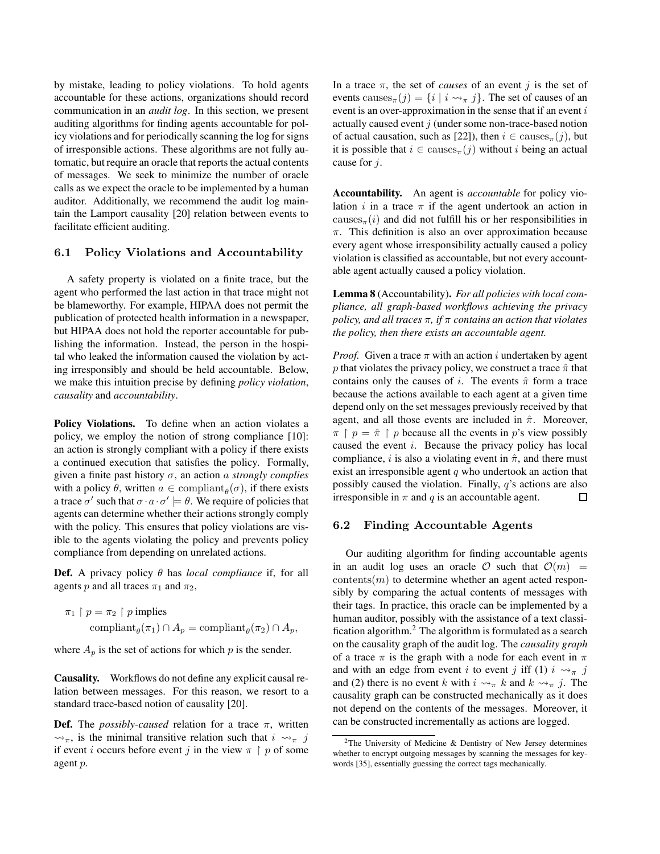by mistake, leading to policy violations. To hold agents accountable for these actions, organizations should record communication in an *audit log*. In this section, we present auditing algorithms for finding agents accountable for policy violations and for periodically scanning the log for signs of irresponsible actions. These algorithms are not fully automatic, but require an oracle that reports the actual contents of messages. We seek to minimize the number of oracle calls as we expect the oracle to be implemented by a human auditor. Additionally, we recommend the audit log maintain the Lamport causality [20] relation between events to facilitate efficient auditing.

### 6.1 Policy Violations and Accountability

A safety property is violated on a finite trace, but the agent who performed the last action in that trace might not be blameworthy. For example, HIPAA does not permit the publication of protected health information in a newspaper, but HIPAA does not hold the reporter accountable for publishing the information. Instead, the person in the hospital who leaked the information caused the violation by acting irresponsibly and should be held accountable. Below, we make this intuition precise by defining *policy violation*, *causality* and *accountability*.

Policy Violations. To define when an action violates a policy, we employ the notion of strong compliance [10]: an action is strongly compliant with a policy if there exists a continued execution that satisfies the policy. Formally, given a finite past history σ, an action a *strongly complies* with a policy  $\theta$ , written  $a \in \text{compliant}_{\theta}(\sigma)$ , if there exists a trace  $\sigma'$  such that  $\sigma \cdot a \cdot \sigma' \models \theta$ . We require of policies that agents can determine whether their actions strongly comply with the policy. This ensures that policy violations are visible to the agents violating the policy and prevents policy compliance from depending on unrelated actions.

Def. A privacy policy θ has *local compliance* if, for all agents p and all traces  $\pi_1$  and  $\pi_2$ ,

$$
\pi_1 \upharpoonright p = \pi_2 \upharpoonright p \text{ implies}
$$

$$
\text{compliant}_{\theta}(\pi_1) \cap A_p = \text{compliant}_{\theta}(\pi_2) \cap A_p,
$$

where  $A_p$  is the set of actions for which p is the sender.

Causality. Workflows do not define any explicit causal relation between messages. For this reason, we resort to a standard trace-based notion of causality [20].

**Def.** The *possibly-caused* relation for a trace  $\pi$ , written  $m_{\pi}$ , is the minimal transitive relation such that  $i \rightarrow_{\pi} j$ if event i occurs before event j in the view  $\pi \restriction p$  of some agent p.

In a trace  $\pi$ , the set of *causes* of an event j is the set of events causes $\pi(j) = \{i \mid i \leadsto \pi j\}$ . The set of causes of an event is an over-approximation in the sense that if an event  $i$ actually caused event  $j$  (under some non-trace-based notion of actual causation, such as [22]), then  $i \in \text{causes}_{\pi}(j)$ , but it is possible that  $i \in \text{causes}_{\pi}(j)$  without i being an actual cause for j.

Accountability. An agent is *accountable* for policy violation *i* in a trace  $\pi$  if the agent undertook an action in causes<sub> $\pi(i)$ </sub> and did not fulfill his or her responsibilities in  $\pi$ . This definition is also an over approximation because every agent whose irresponsibility actually caused a policy violation is classified as accountable, but not every accountable agent actually caused a policy violation.

Lemma 8 (Accountability). *For all policies with local compliance, all graph-based workflows achieving the privacy policy, and all traces* π*, if* π *contains an action that violates the policy, then there exists an accountable agent.*

*Proof.* Given a trace  $\pi$  with an action i undertaken by agent p that violates the privacy policy, we construct a trace  $\hat{\pi}$  that contains only the causes of i. The events  $\hat{\pi}$  form a trace because the actions available to each agent at a given time depend only on the set messages previously received by that agent, and all those events are included in  $\hat{\pi}$ . Moreover,  $\pi \restriction p = \hat{\pi} \restriction p$  because all the events in p's view possibly caused the event i. Because the privacy policy has local compliance, i is also a violating event in  $\hat{\pi}$ , and there must exist an irresponsible agent  $q$  who undertook an action that possibly caused the violation. Finally, q's actions are also irresponsible in  $\pi$  and q is an accountable agent. 口

## 6.2 Finding Accountable Agents

Our auditing algorithm for finding accountable agents in an audit log uses an oracle  $\mathcal O$  such that  $\mathcal O(m)$  =  $\text{contents}(m)$  to determine whether an agent acted responsibly by comparing the actual contents of messages with their tags. In practice, this oracle can be implemented by a human auditor, possibly with the assistance of a text classification algorithm.<sup>2</sup> The algorithm is formulated as a search on the causality graph of the audit log. The *causality graph* of a trace  $\pi$  is the graph with a node for each event in  $\pi$ and with an edge from event i to event j iff (1) i  $\rightsquigarrow_{\pi}$  j and (2) there is no event k with  $i \rightarrow \pi$  k and  $k \rightarrow \pi$  j. The causality graph can be constructed mechanically as it does not depend on the contents of the messages. Moreover, it can be constructed incrementally as actions are logged.

<sup>&</sup>lt;sup>2</sup>The University of Medicine  $\&$  Dentistry of New Jersey determines whether to encrypt outgoing messages by scanning the messages for keywords [35], essentially guessing the correct tags mechanically.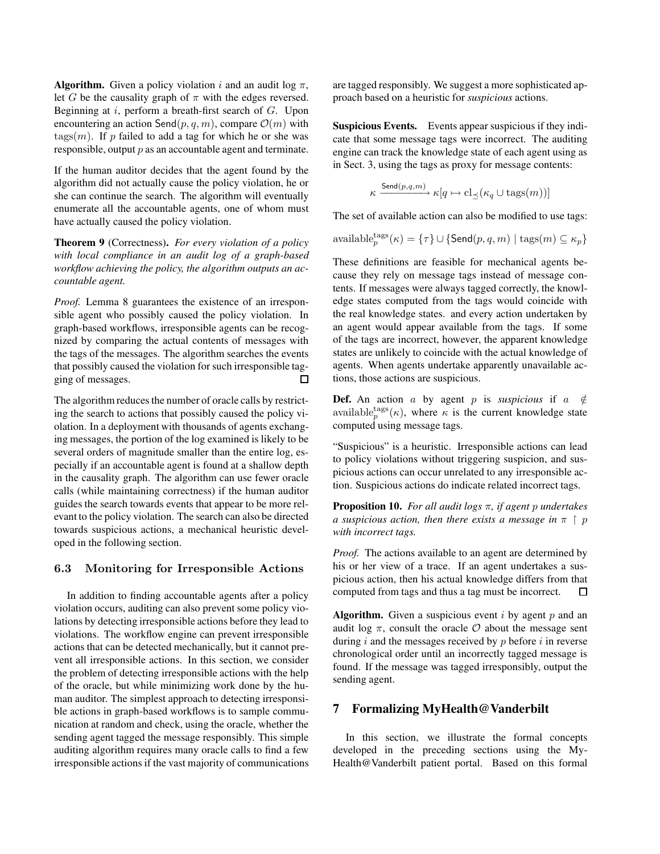**Algorithm.** Given a policy violation i and an audit log  $\pi$ , let G be the causality graph of  $\pi$  with the edges reversed. Beginning at i, perform a breath-first search of  $G$ . Upon encountering an action Send $(p, q, m)$ , compare  $\mathcal{O}(m)$  with  $tags(m)$ . If p failed to add a tag for which he or she was responsible, output p as an accountable agent and terminate.

If the human auditor decides that the agent found by the algorithm did not actually cause the policy violation, he or she can continue the search. The algorithm will eventually enumerate all the accountable agents, one of whom must have actually caused the policy violation.

Theorem 9 (Correctness). *For every violation of a policy with local compliance in an audit log of a graph-based workflow achieving the policy, the algorithm outputs an accountable agent.*

*Proof.* Lemma 8 guarantees the existence of an irresponsible agent who possibly caused the policy violation. In graph-based workflows, irresponsible agents can be recognized by comparing the actual contents of messages with the tags of the messages. The algorithm searches the events that possibly caused the violation for such irresponsible tagging of messages. П

The algorithm reduces the number of oracle calls by restricting the search to actions that possibly caused the policy violation. In a deployment with thousands of agents exchanging messages, the portion of the log examined is likely to be several orders of magnitude smaller than the entire log, especially if an accountable agent is found at a shallow depth in the causality graph. The algorithm can use fewer oracle calls (while maintaining correctness) if the human auditor guides the search towards events that appear to be more relevant to the policy violation. The search can also be directed towards suspicious actions, a mechanical heuristic developed in the following section.

#### 6.3 Monitoring for Irresponsible Actions

In addition to finding accountable agents after a policy violation occurs, auditing can also prevent some policy violations by detecting irresponsible actions before they lead to violations. The workflow engine can prevent irresponsible actions that can be detected mechanically, but it cannot prevent all irresponsible actions. In this section, we consider the problem of detecting irresponsible actions with the help of the oracle, but while minimizing work done by the human auditor. The simplest approach to detecting irresponsible actions in graph-based workflows is to sample communication at random and check, using the oracle, whether the sending agent tagged the message responsibly. This simple auditing algorithm requires many oracle calls to find a few irresponsible actions if the vast majority of communications are tagged responsibly. We suggest a more sophisticated approach based on a heuristic for *suspicious* actions.

Suspicious Events. Events appear suspicious if they indicate that some message tags were incorrect. The auditing engine can track the knowledge state of each agent using as in Sect. 3, using the tags as proxy for message contents:

$$
\kappa\xrightarrow{\mathsf{Send}(p,q,m)}\kappa[q\mapsto\mathrm{cl}_\preceq(\kappa_q\cup\mathrm{tags}(m))]
$$

The set of available action can also be modified to use tags:

$$
\text{available}^{\text{tags}}_p(\kappa) = \{\tau\} \cup \{\textsf{Send}(p, q, m) \mid \text{tags}(m) \subseteq \kappa_p\}
$$

These definitions are feasible for mechanical agents because they rely on message tags instead of message contents. If messages were always tagged correctly, the knowledge states computed from the tags would coincide with the real knowledge states. and every action undertaken by an agent would appear available from the tags. If some of the tags are incorrect, however, the apparent knowledge states are unlikely to coincide with the actual knowledge of agents. When agents undertake apparently unavailable actions, those actions are suspicious.

**Def.** An action a by agent p is *suspicious* if  $a \notin \mathbb{R}$ available $t_p^{\text{tags}}(\kappa)$ , where  $\kappa$  is the current knowledge state computed using message tags.

"Suspicious" is a heuristic. Irresponsible actions can lead to policy violations without triggering suspicion, and suspicious actions can occur unrelated to any irresponsible action. Suspicious actions do indicate related incorrect tags.

Proposition 10. *For all audit logs* π*, if agent* p *undertakes a* suspicious action, then there exists a message in  $\pi \restriction p$ *with incorrect tags.*

*Proof.* The actions available to an agent are determined by his or her view of a trace. If an agent undertakes a suspicious action, then his actual knowledge differs from that computed from tags and thus a tag must be incorrect. 口

**Algorithm.** Given a suspicious event  $i$  by agent  $p$  and an audit log  $\pi$ , consult the oracle  $\mathcal O$  about the message sent during  $i$  and the messages received by  $p$  before  $i$  in reverse chronological order until an incorrectly tagged message is found. If the message was tagged irresponsibly, output the sending agent.

## 7 Formalizing MyHealth@Vanderbilt

In this section, we illustrate the formal concepts developed in the preceding sections using the My-Health@Vanderbilt patient portal. Based on this formal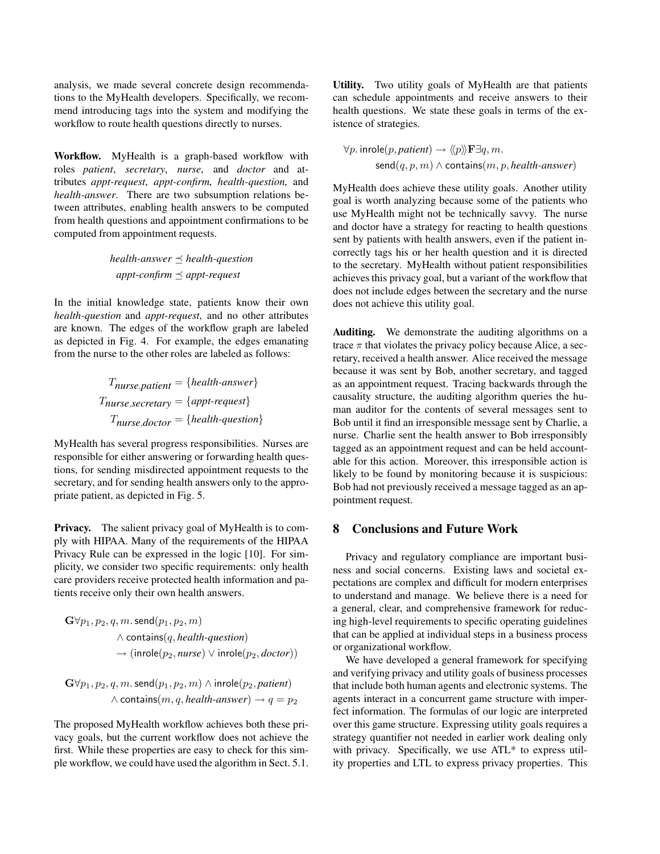analysis, we made several concrete design recommendations to the MyHealth developers. Specifically, we recommend introducing tags into the system and modifying the workflow to route health questions directly to nurses.

Workflow. MyHealth is a graph-based workflow with roles *patient*, *secretary*, *nurse*, and *doctor* and attributes *appt-request*, *appt-confirm*, *health-question*, and *health-answer*. There are two subsumption relations between attributes, enabling health answers to be computed from health questions and appointment confirmations to be computed from appointment requests.

# *health-answer health-question appt-confirm appt-request*

In the initial knowledge state, patients know their own *health-question* and *appt-request*, and no other attributes are known. The edges of the workflow graph are labeled as depicted in Fig. 4. For example, the edges emanating from the nurse to the other roles are labeled as follows:

$$
T_{nurse, patient} = {health-answer}
$$
  

$$
T_{nurse, secretary} = {appt-request}
$$
  

$$
T_{nurse, doctor} = {health-question}
$$

MyHealth has several progress responsibilities. Nurses are responsible for either answering or forwarding health questions, for sending misdirected appointment requests to the secretary, and for sending health answers only to the appropriate patient, as depicted in Fig. 5.

Privacy. The salient privacy goal of MyHealth is to comply with HIPAA. Many of the requirements of the HIPAA Privacy Rule can be expressed in the logic [10]. For simplicity, we consider two specific requirements: only health care providers receive protected health information and patients receive only their own health answers.

$$
\begin{aligned} \mathbf{G}\forall p_1, p_2, q, m.\,\mathsf{send}(p_1, p_2, m) \\ &\wedge \, \mathsf{contains}(q, health\text{-}question) \\ &\rightarrow (\mathsf{inrole}(p_2, \mathit{nurse}) \vee \mathsf{inrole}(p_2, doctor)) \end{aligned}
$$

$$
\mathbf{G}\forall p_1, p_2, q, m.\,\mathsf{send}(p_1, p_2, m) \land \mathsf{inrole}(p_2, patient) \land \mathsf{contains}(m, q, health-answer) \rightarrow q = p_2
$$

The proposed MyHealth workflow achieves both these privacy goals, but the current workflow does not achieve the first. While these properties are easy to check for this simple workflow, we could have used the algorithm in Sect. 5.1. Utility. Two utility goals of MyHealth are that patients can schedule appointments and receive answers to their health questions. We state these goals in terms of the existence of strategies.

 $∀p.$  inrole(p, patient)  $\rightarrow$   $\langle \langle p \rangle \rangle$ **F**∃q, m.  $send(q, p, m) \wedge contains(m, p, health-answer)$ 

MyHealth does achieve these utility goals. Another utility goal is worth analyzing because some of the patients who use MyHealth might not be technically savvy. The nurse and doctor have a strategy for reacting to health questions sent by patients with health answers, even if the patient incorrectly tags his or her health question and it is directed to the secretary. MyHealth without patient responsibilities achieves this privacy goal, but a variant of the workflow that does not include edges between the secretary and the nurse does not achieve this utility goal.

Auditing. We demonstrate the auditing algorithms on a trace  $\pi$  that violates the privacy policy because Alice, a secretary, received a health answer. Alice received the message because it was sent by Bob, another secretary, and tagged as an appointment request. Tracing backwards through the causality structure, the auditing algorithm queries the human auditor for the contents of several messages sent to Bob until it find an irresponsible message sent by Charlie, a nurse. Charlie sent the health answer to Bob irresponsibly tagged as an appointment request and can be held accountable for this action. Moreover, this irresponsible action is likely to be found by monitoring because it is suspicious: Bob had not previously received a message tagged as an appointment request.

# 8 Conclusions and Future Work

Privacy and regulatory compliance are important business and social concerns. Existing laws and societal expectations are complex and difficult for modern enterprises to understand and manage. We believe there is a need for a general, clear, and comprehensive framework for reducing high-level requirements to specific operating guidelines that can be applied at individual steps in a business process or organizational workflow.

We have developed a general framework for specifying and verifying privacy and utility goals of business processes that include both human agents and electronic systems. The agents interact in a concurrent game structure with imperfect information. The formulas of our logic are interpreted over this game structure. Expressing utility goals requires a strategy quantifier not needed in earlier work dealing only with privacy. Specifically, we use ATL<sup>\*</sup> to express utility properties and LTL to express privacy properties. This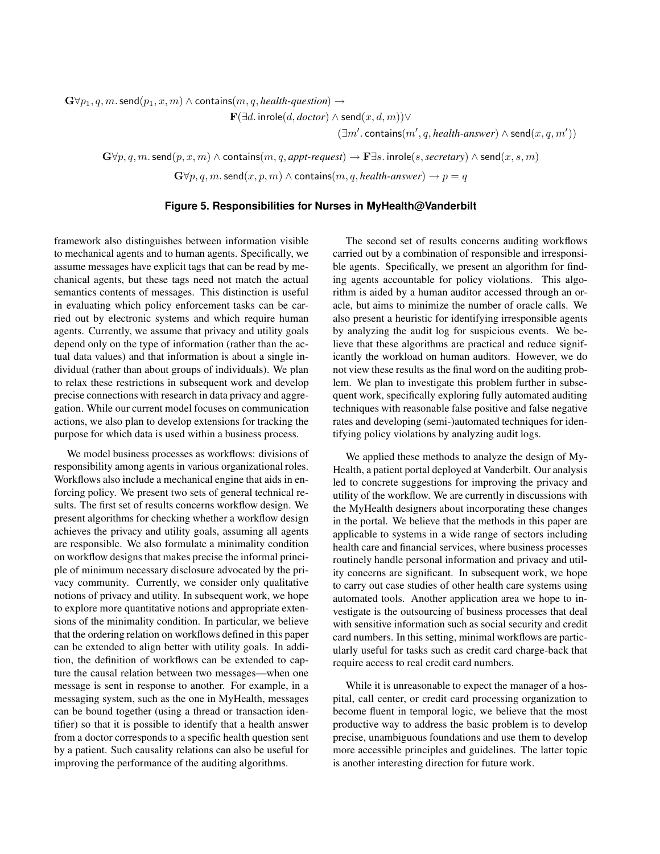$\mathbf{G}\forall p_1, q, m$ . send $(p_1, x, m) \wedge \mathbf{contains}(m, q, \mathit{health-question}) \rightarrow$ 

 $\mathbf{F}(\exists d. \text{ inrole}(d, doctor) \wedge \text{send}(x, d, m)) \vee$ 

 $(∃m'. contains(m', q, health-answer) ∧ send(x, q, m'))$ 

 $\mathbf{G}\forall p,q,m$ . send $(p,x,m) \wedge$  contains $(m,q,appt-request) \rightarrow \mathbf{F}\exists s$ . inrole $(s,secretary) \wedge send(x,s,m)$ 

 $\mathbf{G}\forall p,q,m.\,\mathsf{send}(x,p,m) \land \mathsf{contains}(m,q, \mathit{health-answer}) \rightarrow p = q$ 

#### **Figure 5. Responsibilities for Nurses in MyHealth@Vanderbilt**

framework also distinguishes between information visible to mechanical agents and to human agents. Specifically, we assume messages have explicit tags that can be read by mechanical agents, but these tags need not match the actual semantics contents of messages. This distinction is useful in evaluating which policy enforcement tasks can be carried out by electronic systems and which require human agents. Currently, we assume that privacy and utility goals depend only on the type of information (rather than the actual data values) and that information is about a single individual (rather than about groups of individuals). We plan to relax these restrictions in subsequent work and develop precise connections with research in data privacy and aggregation. While our current model focuses on communication actions, we also plan to develop extensions for tracking the purpose for which data is used within a business process.

We model business processes as workflows: divisions of responsibility among agents in various organizational roles. Workflows also include a mechanical engine that aids in enforcing policy. We present two sets of general technical results. The first set of results concerns workflow design. We present algorithms for checking whether a workflow design achieves the privacy and utility goals, assuming all agents are responsible. We also formulate a minimality condition on workflow designs that makes precise the informal principle of minimum necessary disclosure advocated by the privacy community. Currently, we consider only qualitative notions of privacy and utility. In subsequent work, we hope to explore more quantitative notions and appropriate extensions of the minimality condition. In particular, we believe that the ordering relation on workflows defined in this paper can be extended to align better with utility goals. In addition, the definition of workflows can be extended to capture the causal relation between two messages—when one message is sent in response to another. For example, in a messaging system, such as the one in MyHealth, messages can be bound together (using a thread or transaction identifier) so that it is possible to identify that a health answer from a doctor corresponds to a specific health question sent by a patient. Such causality relations can also be useful for improving the performance of the auditing algorithms.

The second set of results concerns auditing workflows carried out by a combination of responsible and irresponsible agents. Specifically, we present an algorithm for finding agents accountable for policy violations. This algorithm is aided by a human auditor accessed through an oracle, but aims to minimize the number of oracle calls. We also present a heuristic for identifying irresponsible agents by analyzing the audit log for suspicious events. We believe that these algorithms are practical and reduce significantly the workload on human auditors. However, we do not view these results as the final word on the auditing problem. We plan to investigate this problem further in subsequent work, specifically exploring fully automated auditing techniques with reasonable false positive and false negative rates and developing (semi-)automated techniques for identifying policy violations by analyzing audit logs.

We applied these methods to analyze the design of My-Health, a patient portal deployed at Vanderbilt. Our analysis led to concrete suggestions for improving the privacy and utility of the workflow. We are currently in discussions with the MyHealth designers about incorporating these changes in the portal. We believe that the methods in this paper are applicable to systems in a wide range of sectors including health care and financial services, where business processes routinely handle personal information and privacy and utility concerns are significant. In subsequent work, we hope to carry out case studies of other health care systems using automated tools. Another application area we hope to investigate is the outsourcing of business processes that deal with sensitive information such as social security and credit card numbers. In this setting, minimal workflows are particularly useful for tasks such as credit card charge-back that require access to real credit card numbers.

While it is unreasonable to expect the manager of a hospital, call center, or credit card processing organization to become fluent in temporal logic, we believe that the most productive way to address the basic problem is to develop precise, unambiguous foundations and use them to develop more accessible principles and guidelines. The latter topic is another interesting direction for future work.